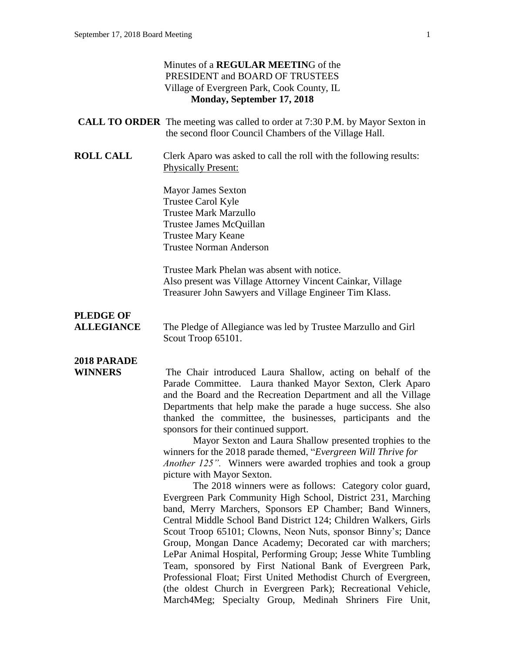#### Minutes of a **REGULAR MEETIN**G of the PRESIDENT and BOARD OF TRUSTEES Village of Evergreen Park, Cook County, IL **Monday, September 17, 2018**

|                                       | $\ldots$                                                                                                                                                                                                                                                                                                                                                                                                                                                                                                                                                                                                  |
|---------------------------------------|-----------------------------------------------------------------------------------------------------------------------------------------------------------------------------------------------------------------------------------------------------------------------------------------------------------------------------------------------------------------------------------------------------------------------------------------------------------------------------------------------------------------------------------------------------------------------------------------------------------|
|                                       | <b>CALL TO ORDER</b> The meeting was called to order at 7:30 P.M. by Mayor Sexton in<br>the second floor Council Chambers of the Village Hall.                                                                                                                                                                                                                                                                                                                                                                                                                                                            |
| <b>ROLL CALL</b>                      | Clerk Aparo was asked to call the roll with the following results:<br><b>Physically Present:</b>                                                                                                                                                                                                                                                                                                                                                                                                                                                                                                          |
|                                       | <b>Mayor James Sexton</b><br>Trustee Carol Kyle<br><b>Trustee Mark Marzullo</b>                                                                                                                                                                                                                                                                                                                                                                                                                                                                                                                           |
|                                       | Trustee James McQuillan<br><b>Trustee Mary Keane</b><br><b>Trustee Norman Anderson</b>                                                                                                                                                                                                                                                                                                                                                                                                                                                                                                                    |
|                                       | Trustee Mark Phelan was absent with notice.<br>Also present was Village Attorney Vincent Cainkar, Village<br>Treasurer John Sawyers and Village Engineer Tim Klass.                                                                                                                                                                                                                                                                                                                                                                                                                                       |
| <b>PLEDGE OF</b><br><b>ALLEGIANCE</b> | The Pledge of Allegiance was led by Trustee Marzullo and Girl<br>Scout Troop 65101.                                                                                                                                                                                                                                                                                                                                                                                                                                                                                                                       |
| 2018 PARADE                           |                                                                                                                                                                                                                                                                                                                                                                                                                                                                                                                                                                                                           |
| <b>WINNERS</b>                        | The Chair introduced Laura Shallow, acting on behalf of the<br>Parade Committee. Laura thanked Mayor Sexton, Clerk Aparo<br>and the Board and the Recreation Department and all the Village<br>Departments that help make the parade a huge success. She also<br>thanked the committee, the businesses, participants and the<br>sponsors for their continued support.<br>Mayor Sexton and Laura Shallow presented trophies to the<br>winners for the 2018 parade themed, "Evergreen Will Thrive for<br><i>Another 125"</i> . Winners were awarded trophies and took a group<br>picture with Mayor Sexton. |
|                                       | The 2018 winners were as follows: Category color guard,<br>Evergreen Park Community High School, District 231, Marching<br>band, Merry Marchers, Sponsors EP Chamber; Band Winners,<br>Central Middle School Band District 124; Children Walkers, Girls<br>Scout Troop 65101; Clowns, Neon Nuts, sponsor Binny's; Dance<br>Crown Mongon Dange Agodomy: December of with marghares                                                                                                                                                                                                                         |

Evergreen Park Community High School, District 231, Marching band, Merry Marchers, Sponsors EP Chamber; Band Winners, Central Middle School Band District 124; Children Walkers, Girls Scout Troop 65101; Clowns, Neon Nuts, sponsor Binny's; Dance Group, Mongan Dance Academy; Decorated car with marchers; LePar Animal Hospital, Performing Group; Jesse White Tumbling Team, sponsored by First National Bank of Evergreen Park, Professional Float; First United Methodist Church of Evergreen, (the oldest Church in Evergreen Park); Recreational Vehicle, March4Meg; Specialty Group, Medinah Shriners Fire Unit,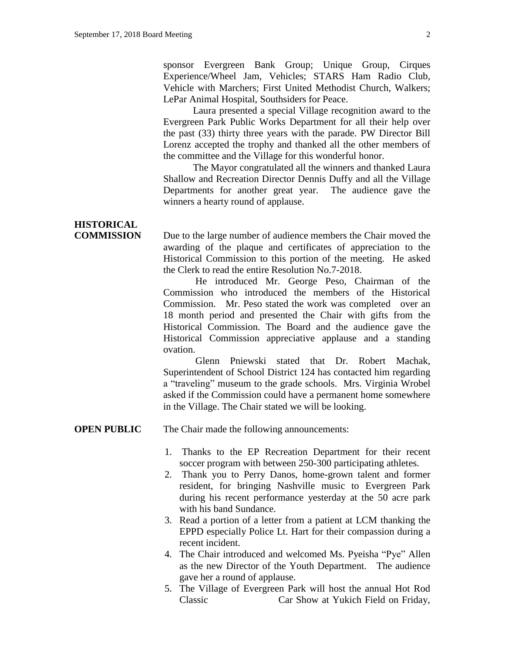sponsor Evergreen Bank Group; Unique Group, Cirques Experience/Wheel Jam, Vehicles; STARS Ham Radio Club, Vehicle with Marchers; First United Methodist Church, Walkers; LePar Animal Hospital, Southsiders for Peace.

Laura presented a special Village recognition award to the Evergreen Park Public Works Department for all their help over the past (33) thirty three years with the parade. PW Director Bill Lorenz accepted the trophy and thanked all the other members of the committee and the Village for this wonderful honor.

The Mayor congratulated all the winners and thanked Laura Shallow and Recreation Director Dennis Duffy and all the Village Departments for another great year. The audience gave the winners a hearty round of applause.

# **HISTORICAL**

**COMMISSION** Due to the large number of audience members the Chair moved the awarding of the plaque and certificates of appreciation to the Historical Commission to this portion of the meeting. He asked the Clerk to read the entire Resolution No.7-2018.

> He introduced Mr. George Peso, Chairman of the Commission who introduced the members of the Historical Commission. Mr. Peso stated the work was completed over an 18 month period and presented the Chair with gifts from the Historical Commission. The Board and the audience gave the Historical Commission appreciative applause and a standing ovation.

> Glenn Pniewski stated that Dr. Robert Machak, Superintendent of School District 124 has contacted him regarding a "traveling" museum to the grade schools. Mrs. Virginia Wrobel asked if the Commission could have a permanent home somewhere in the Village. The Chair stated we will be looking.

**OPEN PUBLIC** The Chair made the following announcements:

- 1. Thanks to the EP Recreation Department for their recent soccer program with between 250-300 participating athletes.
- 2. Thank you to Perry Danos, home-grown talent and former resident, for bringing Nashville music to Evergreen Park during his recent performance yesterday at the 50 acre park with his band Sundance.
- 3. Read a portion of a letter from a patient at LCM thanking the EPPD especially Police Lt. Hart for their compassion during a recent incident.
- 4. The Chair introduced and welcomed Ms. Pyeisha "Pye" Allen as the new Director of the Youth Department. The audience gave her a round of applause.
- 5. The Village of Evergreen Park will host the annual Hot Rod Classic Car Show at Yukich Field on Friday,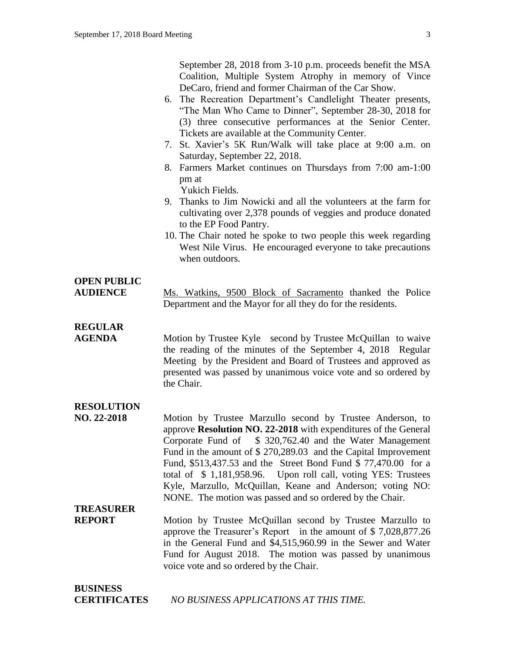September 28, 2018 from 3-10 p.m. proceeds benefit the MSA Coalition, Multiple System Atrophy in memory of Vince DeCaro, friend and former Chairman of the Car Show.

- 6. The Recreation Department's Candlelight Theater presents, "The Man Who Came to Dinner", September 28-30, 2018 for (3) three consecutive performances at the Senior Center. Tickets are available at the Community Center.
- 7. St. Xavier's 5K Run/Walk will take place at 9:00 a.m. on Saturday, September 22, 2018.
- 8. Farmers Market continues on Thursdays from 7:00 am-1:00 pm at

Yukich Fields.

- 9. Thanks to Jim Nowicki and all the volunteers at the farm for cultivating over 2,378 pounds of veggies and produce donated to the EP Food Pantry.
- 10. The Chair noted he spoke to two people this week regarding West Nile Virus. He encouraged everyone to take precautions when outdoors.

#### **OPEN PUBLIC**

**AUDIENCE** Ms. Watkins, 9500 Block of Sacramento thanked the Police Department and the Mayor for all they do for the residents.

### **REGULAR**

**AGENDA** Motion by Trustee Kyle second by Trustee McQuillan to waive the reading of the minutes of the September 4, 2018 Regular Meeting by the President and Board of Trustees and approved as presented was passed by unanimous voice vote and so ordered by the Chair.

#### **RESOLUTION**

**NO. 22-2018** Motion by Trustee Marzullo second by Trustee Anderson, to approve **Resolution NO. 22-2018** with expenditures of the General Corporate Fund of \$ 320,762.40 and the Water Management Fund in the amount of \$ 270,289.03 and the Capital Improvement Fund, \$513,437.53 and the Street Bond Fund \$ 77,470.00 for a total of \$ 1,181,958.96. Upon roll call, voting YES: Trustees Kyle, Marzullo, McQuillan, Keane and Anderson; voting NO: NONE. The motion was passed and so ordered by the Chair.

### **TREASURER**

**REPORT** Motion by Trustee McQuillan second by Trustee Marzullo to approve the Treasurer's Report in the amount of \$ 7,028,877.26 in the General Fund and \$4,515,960.99 in the Sewer and Water Fund for August 2018. The motion was passed by unanimous voice vote and so ordered by the Chair.

#### **BUSINESS**

**CERTIFICATES** *NO BUSINESS APPLICATIONS AT THIS TIME.*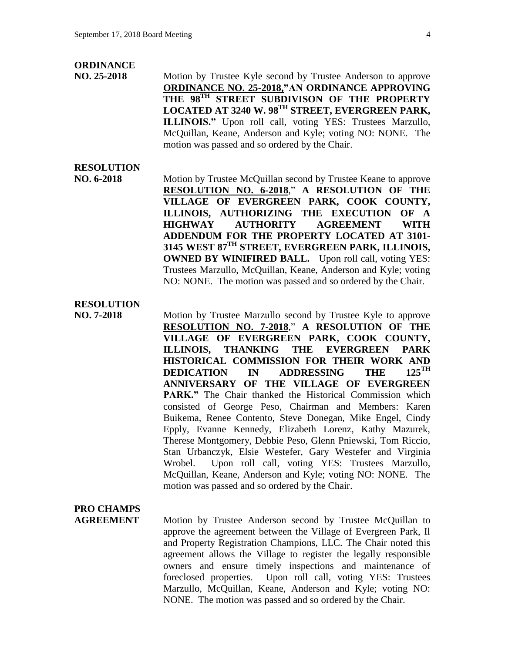#### **ORDINANCE**

**NO. 25-2018** Motion by Trustee Kyle second by Trustee Anderson to approve **ORDINANCE NO. 25-2018,"AN ORDINANCE APPROVING THE 98TH STREET SUBDIVISON OF THE PROPERTY LOCATED AT 3240 W. 98TH STREET, EVERGREEN PARK, ILLINOIS."** Upon roll call, voting YES: Trustees Marzullo, McQuillan, Keane, Anderson and Kyle; voting NO: NONE. The motion was passed and so ordered by the Chair.

#### **RESOLUTION**

**NO. 6-2018** Motion by Trustee McQuillan second by Trustee Keane to approve **RESOLUTION NO. 6-2018**," **A RESOLUTION OF THE VILLAGE OF EVERGREEN PARK, COOK COUNTY, ILLINOIS, AUTHORIZING THE EXECUTION OF A HIGHWAY AUTHORITY AGREEMENT WITH ADDENDUM FOR THE PROPERTY LOCATED AT 3101- 3145 WEST 87TH STREET, EVERGREEN PARK, ILLINOIS, OWNED BY WINIFIRED BALL.** Upon roll call, voting YES: Trustees Marzullo, McQuillan, Keane, Anderson and Kyle; voting NO: NONE. The motion was passed and so ordered by the Chair.

#### **RESOLUTION**

**NO. 7-2018** Motion by Trustee Marzullo second by Trustee Kyle to approve **RESOLUTION NO. 7-2018**," **A RESOLUTION OF THE VILLAGE OF EVERGREEN PARK, COOK COUNTY, ILLINOIS, THANKING THE EVERGREEN PARK HISTORICAL COMMISSION FOR THEIR WORK AND<br>DEDICATION IN ADDRESSING THE 125<sup>TH</sup> DEDICATION IN ADDRESSING THE ANNIVERSARY OF THE VILLAGE OF EVERGREEN PARK."** The Chair thanked the Historical Commission which consisted of George Peso, Chairman and Members: Karen Buikema, Renee Contento, Steve Donegan, Mike Engel, Cindy Epply, Evanne Kennedy, Elizabeth Lorenz, Kathy Mazurek, Therese Montgomery, Debbie Peso, Glenn Pniewski, Tom Riccio, Stan Urbanczyk, Elsie Westefer, Gary Westefer and Virginia Wrobel. Upon roll call, voting YES: Trustees Marzullo, McQuillan, Keane, Anderson and Kyle; voting NO: NONE. The motion was passed and so ordered by the Chair.

## **PRO CHAMPS**

**AGREEMENT** Motion by Trustee Anderson second by Trustee McQuillan to approve the agreement between the Village of Evergreen Park, Il and Property Registration Champions, LLC. The Chair noted this agreement allows the Village to register the legally responsible owners and ensure timely inspections and maintenance of foreclosed properties. Upon roll call, voting YES: Trustees Marzullo, McQuillan, Keane, Anderson and Kyle; voting NO: NONE. The motion was passed and so ordered by the Chair.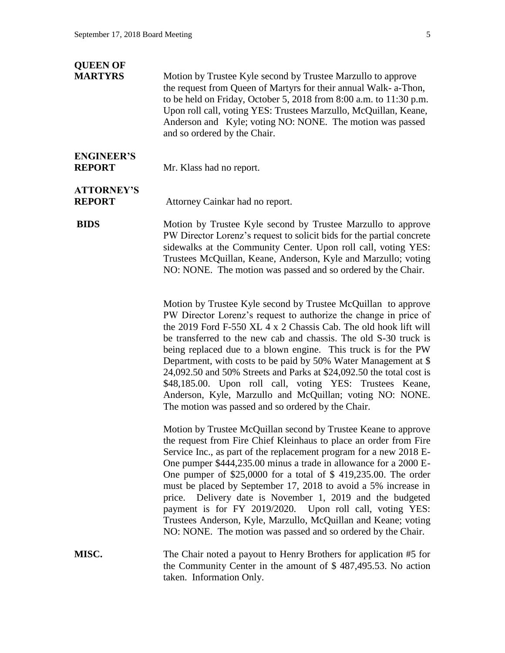#### **QUEEN OF**

**MARTYRS** Motion by Trustee Kyle second by Trustee Marzullo to approve the request from Queen of Martyrs for their annual Walk- a-Thon, to be held on Friday, October 5, 2018 from 8:00 a.m. to 11:30 p.m. Upon roll call, voting YES: Trustees Marzullo, McQuillan, Keane, Anderson and Kyle; voting NO: NONE. The motion was passed and so ordered by the Chair.

## **ENGINEER'S**

**REPORT** Mr. Klass had no report.

# **ATTORNEY'S**

**REPORT** Attorney Cainkar had no report.

**BIDS** Motion by Trustee Kyle second by Trustee Marzullo to approve PW Director Lorenz's request to solicit bids for the partial concrete sidewalks at the Community Center. Upon roll call, voting YES: Trustees McQuillan, Keane, Anderson, Kyle and Marzullo; voting NO: NONE. The motion was passed and so ordered by the Chair.

> Motion by Trustee Kyle second by Trustee McQuillan to approve PW Director Lorenz's request to authorize the change in price of the 2019 Ford F-550 XL 4 x 2 Chassis Cab. The old hook lift will be transferred to the new cab and chassis. The old S-30 truck is being replaced due to a blown engine. This truck is for the PW Department, with costs to be paid by 50% Water Management at \$ 24,092.50 and 50% Streets and Parks at \$24,092.50 the total cost is \$48,185.00. Upon roll call, voting YES: Trustees Keane, Anderson, Kyle, Marzullo and McQuillan; voting NO: NONE. The motion was passed and so ordered by the Chair.

> Motion by Trustee McQuillan second by Trustee Keane to approve the request from Fire Chief Kleinhaus to place an order from Fire Service Inc., as part of the replacement program for a new 2018 E-One pumper \$444,235.00 minus a trade in allowance for a 2000 E-One pumper of \$25,0000 for a total of \$ 419,235.00. The order must be placed by September 17, 2018 to avoid a 5% increase in price. Delivery date is November 1, 2019 and the budgeted payment is for FY 2019/2020. Upon roll call, voting YES: Trustees Anderson, Kyle, Marzullo, McQuillan and Keane; voting NO: NONE. The motion was passed and so ordered by the Chair.

**MISC.** The Chair noted a payout to Henry Brothers for application #5 for the Community Center in the amount of \$ 487,495.53. No action taken. Information Only.